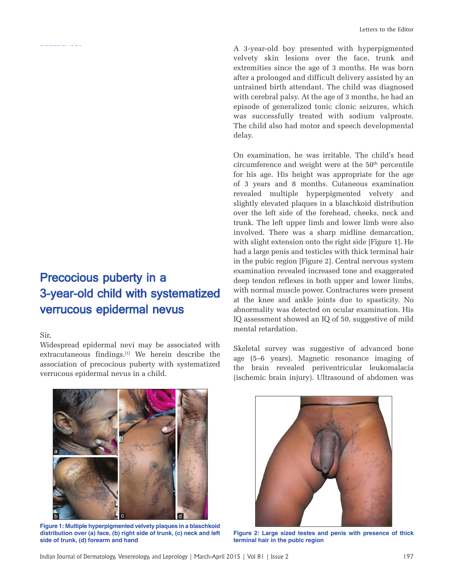A 3-year-old boy presented with hyperpigmented velvety skin lesions over the face, trunk and extremities since the age of 3 months. He was born after a prolonged and difficult delivery assisted by an untrained birth attendant. The child was diagnosed with cerebral palsy. At the age of 3 months, he had an episode of generalized tonic clonic seizures, which was successfully treated with sodium valproate. The child also had motor and speech developmental delay.

On examination, he was irritable. The child's head  $circ$  circumference and weight were at the  $50<sup>th</sup>$  percentile for his age. His height was appropriate for the age of 3 years and 8 months. Cutaneous examination revealed multiple hyperpigmented velvety and slightly elevated plaques in a blaschkoid distribution over the left side of the forehead, cheeks, neck and trunk. The left upper limb and lower limb were also involved. There was a sharp midline demarcation, with slight extension onto the right side [Figure 1]. He had a large penis and testicles with thick terminal hair in the pubic region [Figure 2]. Central nervous system examination revealed increased tone and exaggerated deep tendon reflexes in both upper and lower limbs, with normal muscle power. Contractures were present at the knee and ankle joints due to spasticity. No abnormality was detected on ocular examination. His IQ assessment showed an IQ of 50, suggestive of mild mental retardation.

## Precocious puberty in a 3-year-old child with systematized verrucous epidermal nevus

## Sir,

REFERENCES EFERENCES

Widespread epidermal nevi may be associated with extracutaneous findings.<sup>[1]</sup> We herein describe the association of precocious puberty with systematized verrucous epidermal nevus in a child.



**Figure 1: Multiple hyperpigmented velvety plaques in a blaschkoid distribution over (a) face, (b) right side of trunk, (c) neck and left side of trunk, (d) forearm and hand**

Skeletal survey was suggestive of advanced bone age (5–6 years). Magnetic resonance imaging of the brain revealed periventricular leukomalacia (ischemic brain injury). Ultrasound of abdomen was



**Figure 2: Large sized testes and penis with presence of thick terminal hair in the pubic region**